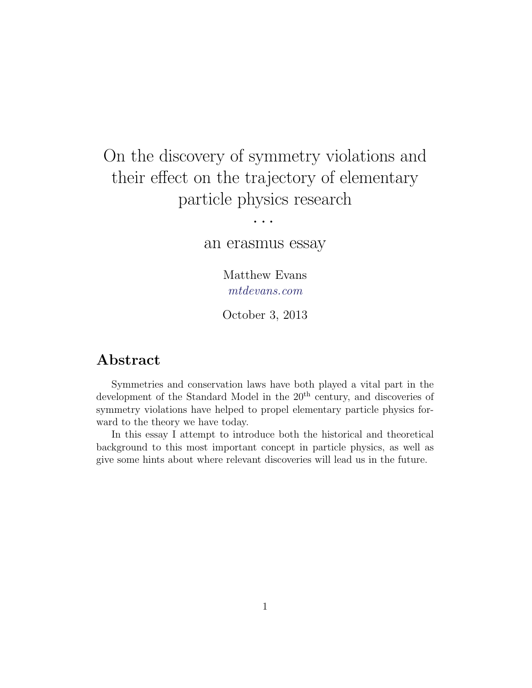# On the discovery of symmetry violations and their effect on the trajectory of elementary particle physics research

· · ·

an erasmus essay

Matthew Evans [mtdevans.com](http://mtdevans.com/)

October 3, 2013

## Abstract

Symmetries and conservation laws have both played a vital part in the development of the Standard Model in the  $20<sup>th</sup>$  century, and discoveries of symmetry violations have helped to propel elementary particle physics forward to the theory we have today.

In this essay I attempt to introduce both the historical and theoretical background to this most important concept in particle physics, as well as give some hints about where relevant discoveries will lead us in the future.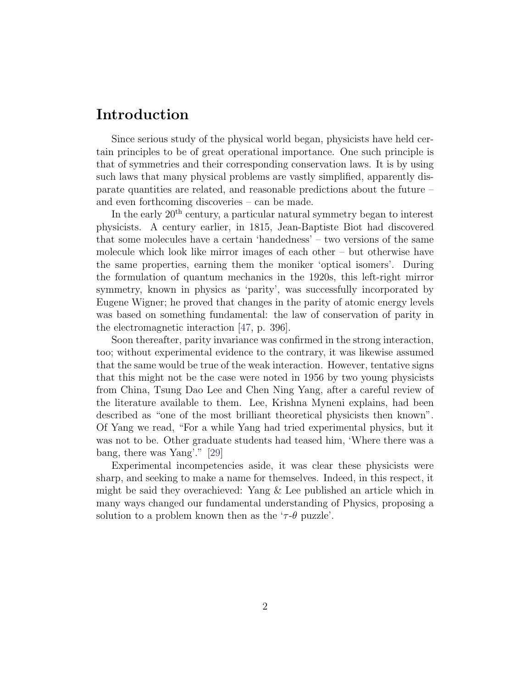## Introduction

Since serious study of the physical world began, physicists have held certain principles to be of great operational importance. One such principle is that of symmetries and their corresponding conservation laws. It is by using such laws that many physical problems are vastly simplified, apparently disparate quantities are related, and reasonable predictions about the future – and even forthcoming discoveries – can be made.

In the early  $20<sup>th</sup>$  century, a particular natural symmetry began to interest physicists. A century earlier, in 1815, Jean-Baptiste Biot had discovered that some molecules have a certain 'handedness' – two versions of the same molecule which look like mirror images of each other – but otherwise have the same properties, earning them the moniker 'optical isomers'. During the formulation of quantum mechanics in the 1920s, this left-right mirror symmetry, known in physics as 'parity', was successfully incorporated by Eugene Wigner; he proved that changes in the parity of atomic energy levels was based on something fundamental: the law of conservation of parity in the electromagnetic interaction [\[47,](#page-17-0) p. 396].

Soon thereafter, parity invariance was confirmed in the strong interaction, too; without experimental evidence to the contrary, it was likewise assumed that the same would be true of the weak interaction. However, tentative signs that this might not be the case were noted in 1956 by two young physicists from China, Tsung Dao Lee and Chen Ning Yang, after a careful review of the literature available to them. Lee, Krishna Myneni explains, had been described as "one of the most brilliant theoretical physicists then known". Of Yang we read, "For a while Yang had tried experimental physics, but it was not to be. Other graduate students had teased him, 'Where there was a bang, there was Yang'." [\[29\]](#page-15-0)

Experimental incompetencies aside, it was clear these physicists were sharp, and seeking to make a name for themselves. Indeed, in this respect, it might be said they overachieved: Yang & Lee published an article which in many ways changed our fundamental understanding of Physics, proposing a solution to a problem known then as the ' $\tau$ - $\theta$  puzzle'.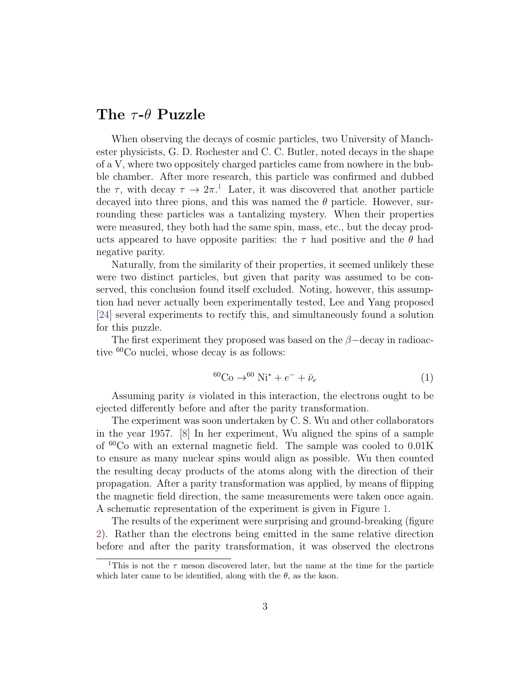## The  $\tau$ - $\theta$  Puzzle

When observing the decays of cosmic particles, two University of Manchester physicists, G. D. Rochester and C. C. Butler, noted decays in the shape of a V, where two oppositely charged particles came from nowhere in the bubble chamber. After more research, this particle was confirmed and dubbed the  $\tau$ , with decay  $\tau \to 2\pi$ <sup>[1](#page-2-0)</sup>. Later, it was discovered that another particle decayed into three pions, and this was named the  $\theta$  particle. However, surrounding these particles was a tantalizing mystery. When their properties were measured, they both had the same spin, mass, etc., but the decay products appeared to have opposite parities: the  $\tau$  had positive and the  $\theta$  had negative parity.

Naturally, from the similarity of their properties, it seemed unlikely these were two distinct particles, but given that parity was assumed to be conserved, this conclusion found itself excluded. Noting, however, this assumption had never actually been experimentally tested, Lee and Yang proposed [\[24\]](#page-15-1) several experiments to rectify this, and simultaneously found a solution for this puzzle.

The first experiment they proposed was based on the  $\beta$ -decay in radioactive <sup>60</sup>Co nuclei, whose decay is as follows:

$$
^{60}Co \rightarrow ^{60}Ni^* + e^- + \bar{\nu}_e
$$
 (1)

Assuming parity is violated in this interaction, the electrons ought to be ejected differently before and after the parity transformation.

The experiment was soon undertaken by C. S. Wu and other collaborators in the year 1957. [\[8\]](#page-13-0) In her experiment, Wu aligned the spins of a sample of <sup>60</sup>Co with an external magnetic field. The sample was cooled to 0.01K to ensure as many nuclear spins would align as possible. Wu then counted the resulting decay products of the atoms along with the direction of their propagation. After a parity transformation was applied, by means of flipping the magnetic field direction, the same measurements were taken once again. A schematic representation of the experiment is given in Figure [1.](#page-3-0)

The results of the experiment were surprising and ground-breaking (figure [2\)](#page-3-1). Rather than the electrons being emitted in the same relative direction before and after the parity transformation, it was observed the electrons

<span id="page-2-0"></span><sup>&</sup>lt;sup>1</sup>This is not the  $\tau$  meson discovered later, but the name at the time for the particle which later came to be identified, along with the  $\theta$ , as the kaon.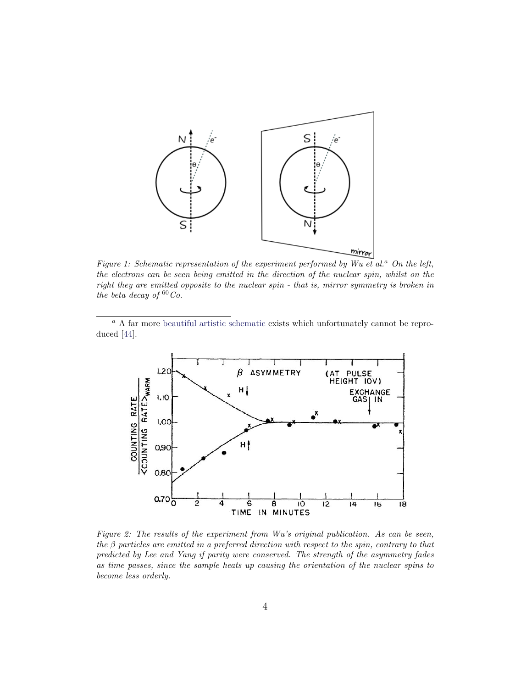<span id="page-3-0"></span>

Figure 1: Schematic representation of the experiment performed by Wu et al.<sup>a</sup> On the left, the electrons can be seen being emitted in the direction of the nuclear spin, whilst on the right they are emitted opposite to the nuclear spin - that is, mirror symmetry is broken in the beta decay of  ${}^{60}Co$ .

<sup>a</sup> A far more [beautiful artistic schematic](http://www.flickr.com/photos/22611996@N02/6219132038/in/photostream/) exists which unfortunately cannot be reproduced [\[44\]](#page-16-0).

<span id="page-3-1"></span>

Figure 2: The results of the experiment from Wu's original publication. As can be seen, the  $\beta$  particles are emitted in a preferred direction with respect to the spin, contrary to that predicted by Lee and Yang if parity were conserved. The strength of the asymmetry fades as time passes, since the sample heats up causing the orientation of the nuclear spins to become less orderly.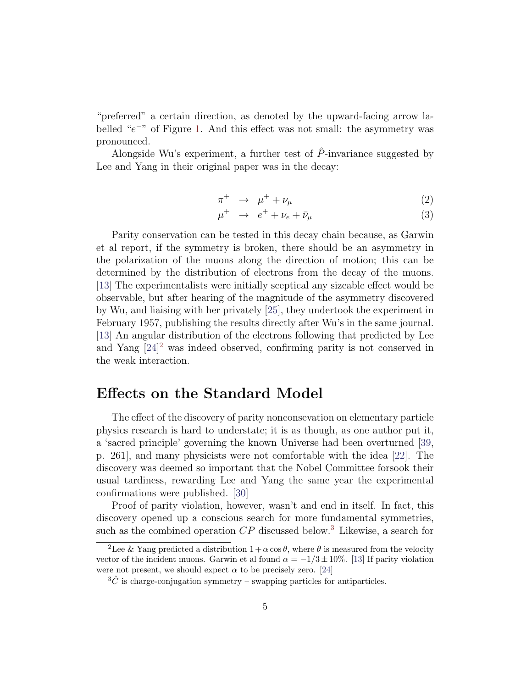"preferred" a certain direction, as denoted by the upward-facing arrow la-belled "e<sup>-</sup>" of Figure [1.](#page-3-0) And this effect was not small: the asymmetry was pronounced.

Alongside Wu's experiment, a further test of  $\hat{P}$ -invariance suggested by Lee and Yang in their original paper was in the decay:

$$
\pi^+ \to \mu^+ + \nu_\mu \tag{2}
$$

$$
\mu^+ \rightarrow e^+ + \nu_e + \bar{\nu}_\mu \tag{3}
$$

Parity conservation can be tested in this decay chain because, as Garwin et al report, if the symmetry is broken, there should be an asymmetry in the polarization of the muons along the direction of motion; this can be determined by the distribution of electrons from the decay of the muons. [\[13\]](#page-14-0) The experimentalists were initially sceptical any sizeable effect would be observable, but after hearing of the magnitude of the asymmetry discovered by Wu, and liaising with her privately [\[25\]](#page-15-2), they undertook the experiment in February 1957, publishing the results directly after Wu's in the same journal. [\[13\]](#page-14-0) An angular distribution of the electrons following that predicted by Lee and Yang [\[24\]](#page-15-1) [2](#page-4-0) was indeed observed, confirming parity is not conserved in the weak interaction.

### Effects on the Standard Model

The effect of the discovery of parity nonconsevation on elementary particle physics research is hard to understate; it is as though, as one author put it, a 'sacred principle' governing the known Universe had been overturned [\[39,](#page-16-1) p. 261], and many physicists were not comfortable with the idea [\[22\]](#page-14-1). The discovery was deemed so important that the Nobel Committee forsook their usual tardiness, rewarding Lee and Yang the same year the experimental confirmations were published. [\[30\]](#page-15-3)

Proof of parity violation, however, wasn't and end in itself. In fact, this discovery opened up a conscious search for more fundamental symmetries, such as the combined operation  $CP$  discussed below.<sup>[3](#page-4-1)</sup> Likewise, a search for

<span id="page-4-0"></span><sup>&</sup>lt;sup>2</sup>Lee & Yang predicted a distribution  $1 + \alpha \cos \theta$ , where  $\theta$  is measured from the velocity vector of the incident muons. Garwin et al found  $\alpha = -1/3 \pm 10\%$ . [\[13\]](#page-14-0) If parity violation were not present, we should expect  $\alpha$  to be precisely zero. [\[24\]](#page-15-1)

<span id="page-4-1"></span> $3\hat{C}$  is charge-conjugation symmetry – swapping particles for antiparticles.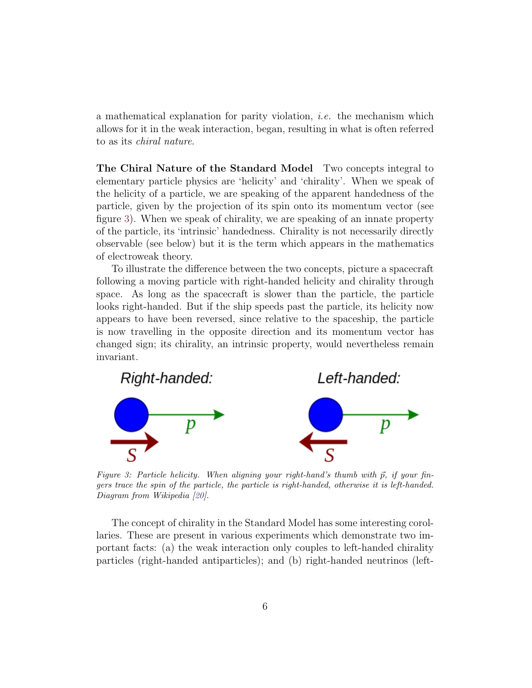a mathematical explanation for parity violation, *i.e.* the mechanism which allows for it in the weak interaction, began, resulting in what is often referred to as its chiral nature.

The Chiral Nature of the Standard Model Two concepts integral to elementary particle physics are 'helicity' and 'chirality'. When we speak of the helicity of a particle, we are speaking of the apparent handedness of the particle, given by the projection of its spin onto its momentum vector (see figure [3\)](#page-5-0). When we speak of chirality, we are speaking of an innate property of the particle, its 'intrinsic' handedness. Chirality is not necessarily directly observable (see below) but it is the term which appears in the mathematics of electroweak theory.

To illustrate the difference between the two concepts, picture a spacecraft following a moving particle with right-handed helicity and chirality through space. As long as the spacecraft is slower than the particle, the particle looks right-handed. But if the ship speeds past the particle, its helicity now appears to have been reversed, since relative to the spaceship, the particle is now travelling in the opposite direction and its momentum vector has changed sign; its chirality, an intrinsic property, would nevertheless remain invariant.

<span id="page-5-0"></span>

Figure 3: Particle helicity. When aligning your right-hand's thumb with  $\vec{p}$ , if your fingers trace the spin of the particle, the particle is right-handed, otherwise it is left-handed. Diagram from Wikipedia [\[20\]](#page-14-2).

The concept of chirality in the Standard Model has some interesting corollaries. These are present in various experiments which demonstrate two important facts: (a) the weak interaction only couples to left-handed chirality particles (right-handed antiparticles); and (b) right-handed neutrinos (left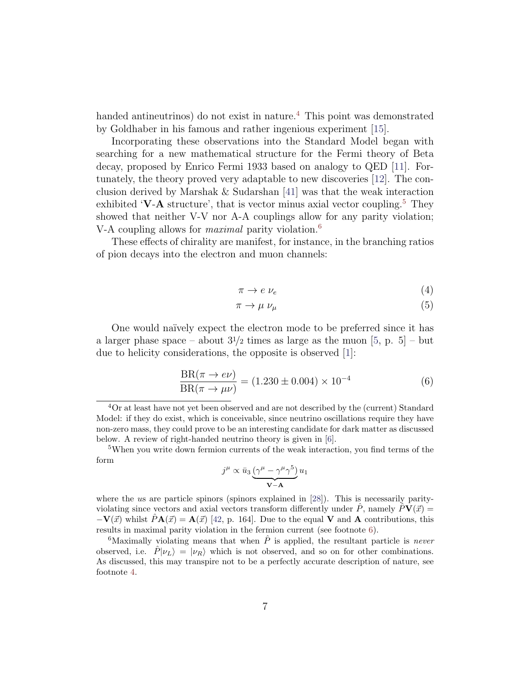handed antineutrinos) do not exist in nature.<sup>[4](#page-6-0)</sup> This point was demonstrated by Goldhaber in his famous and rather ingenious experiment [\[15\]](#page-14-3).

Incorporating these observations into the Standard Model began with searching for a new mathematical structure for the Fermi theory of Beta decay, proposed by Enrico Fermi 1933 based on analogy to QED [\[11\]](#page-13-1). Fortunately, the theory proved very adaptable to new discoveries [\[12\]](#page-13-2). The conclusion derived by Marshak & Sudarshan [\[41\]](#page-16-2) was that the weak interaction exhibited 'V-A structure', that is vector minus axial vector coupling.<sup>[5](#page-6-1)</sup> They showed that neither V-V nor A-A couplings allow for any parity violation; V-A coupling allows for *maximal* parity violation.<sup>[6](#page-6-2)</sup>

These effects of chirality are manifest, for instance, in the branching ratios of pion decays into the electron and muon channels:

$$
\pi \to e \, \nu_e \tag{4}
$$

$$
\pi \to \mu \,\nu_{\mu} \tag{5}
$$

One would naïvely expect the electron mode to be preferred since it has a larger phase space – about  $3^{1}/2$  times as large as the muon [\[5,](#page-13-3) p. 5] – but due to helicity considerations, the opposite is observed [\[1\]](#page-13-4):

$$
\frac{\text{BR}(\pi \to e\nu)}{\text{BR}(\pi \to \mu\nu)} = (1.230 \pm 0.004) \times 10^{-4}
$$
 (6)

$$
j^{\mu} \propto \bar{u}_3 \underbrace{(\gamma^{\mu} - \gamma^{\mu} \gamma^5)}_{\mathbf{V} - \mathbf{A}} u_1
$$

where the us are particle spinors (spinors explained in [\[28\]](#page-15-4)). This is necessarily parityviolating since vectors and axial vectors transform differently under  $\ddot{P}$ , namely  $\ddot{P}V(\vec{x}) =$  $-\mathbf{V}(\vec{x})$  whilst  $\hat{P}\mathbf{A}(\vec{x}) = \mathbf{A}(\vec{x})$  [\[42,](#page-16-3) p. 164]. Due to the equal V and A contributions, this results in maximal parity violation in the fermion current (see footnote [6\)](#page-6-2).

<span id="page-6-2"></span><sup>6</sup>Maximally violating means that when  $\hat{P}$  is applied, the resultant particle is *never* observed, i.e.  $\hat{P}|\nu_L\rangle = |\nu_R\rangle$  which is not observed, and so on for other combinations. As discussed, this may transpire not to be a perfectly accurate description of nature, see footnote [4.](#page-6-0)

<span id="page-6-0"></span><sup>4</sup>Or at least have not yet been observed and are not described by the (current) Standard Model: if they do exist, which is conceivable, since neutrino oscillations require they have non-zero mass, they could prove to be an interesting candidate for dark matter as discussed below. A review of right-handed neutrino theory is given in [\[6\]](#page-13-5).

<span id="page-6-1"></span><sup>5</sup>When you write down fermion currents of the weak interaction, you find terms of the form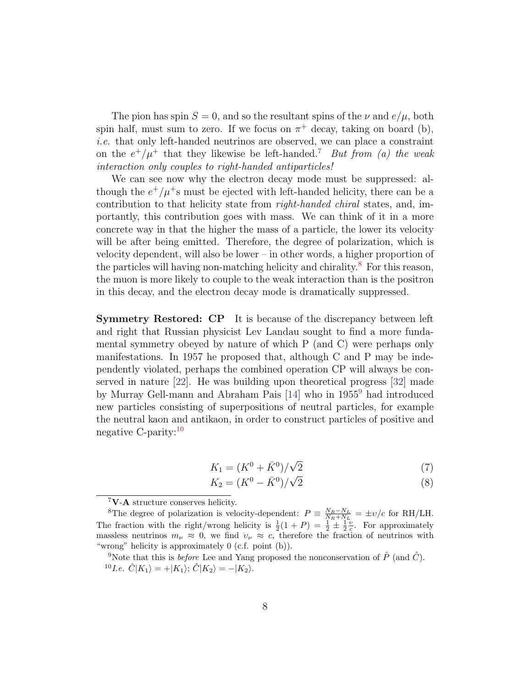The pion has spin  $S = 0$ , and so the resultant spins of the  $\nu$  and  $e/\mu$ , both spin half, must sum to zero. If we focus on  $\pi^+$  decay, taking on board (b), i.e. that only left-handed neutrinos are observed, we can place a constraint on the  $e^+/\mu^+$  that they likewise be left-handed.<sup>[7](#page-7-0)</sup> But from (a) the weak interaction only couples to right-handed antiparticles!

We can see now why the electron decay mode must be suppressed: although the  $e^+/\mu^+$ s must be ejected with left-handed helicity, there can be a contribution to that helicity state from right-handed chiral states, and, importantly, this contribution goes with mass. We can think of it in a more concrete way in that the higher the mass of a particle, the lower its velocity will be after being emitted. Therefore, the degree of polarization, which is velocity dependent, will also be lower – in other words, a higher proportion of the particles will having non-matching helicity and chirality. $8$  For this reason, the muon is more likely to couple to the weak interaction than is the positron in this decay, and the electron decay mode is dramatically suppressed.

Symmetry Restored: CP It is because of the discrepancy between left and right that Russian physicist Lev Landau sought to find a more fundamental symmetry obeyed by nature of which P (and C) were perhaps only manifestations. In 1957 he proposed that, although C and P may be independently violated, perhaps the combined operation CP will always be conserved in nature [\[22\]](#page-14-1). He was building upon theoretical progress [\[32\]](#page-15-5) made by Murray Gell-mann and Abraham Pais [\[14\]](#page-14-4) who in 1955[9](#page-7-2) had introduced new particles consisting of superpositions of neutral particles, for example the neutral kaon and antikaon, in order to construct particles of positive and negative C-parity:[10](#page-7-3)

$$
K_1 = (K^0 + \bar{K}^0) / \sqrt{2}
$$
\n(7)

<span id="page-7-4"></span>
$$
K_2 = (K^0 - \bar{K}^0) / \sqrt{2}
$$
\n(8)

<span id="page-7-1"></span><span id="page-7-0"></span> $7\mathrm{V}\text{-}\mathrm{A}$  structure conserves helicity.

<sup>&</sup>lt;sup>8</sup>The degree of polarization is velocity-dependent:  $P = \frac{N_R - N_L}{N_R + N_L} = \pm v/c$  for RH/LH. The fraction with the right/wrong helicity is  $\frac{1}{2}(1+P) = \frac{1}{2} \pm \frac{1}{2} \frac{v}{c}$ . For approximately massless neutrinos  $m_{\nu} \approx 0$ , we find  $v_{\nu} \approx c$ , therefore the fraction of neutrinos with "wrong" helicity is approximately 0 (c.f. point (b)).

<span id="page-7-3"></span><span id="page-7-2"></span><sup>&</sup>lt;sup>9</sup>Note that this is *before* Lee and Yang proposed the nonconservation of  $\hat{P}$  (and  $\hat{C}$ ).  ${}^{10}I.e. \hat{C}|K_1\rangle = +|K_1\rangle; \hat{C}|K_2\rangle = -|K_2\rangle.$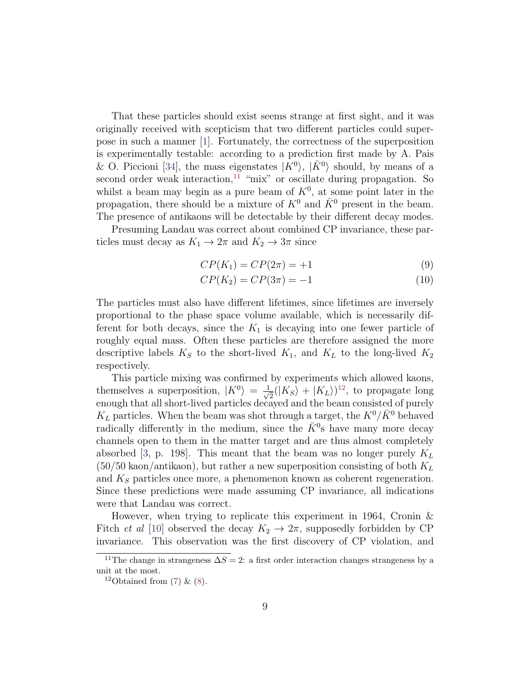That these particles should exist seems strange at first sight, and it was originally received with scepticism that two different particles could superpose in such a manner [\[1\]](#page-13-4). Fortunately, the correctness of the superposition is experimentally testable: according to a prediction first made by A. Pais & O. Piccioni [\[34\]](#page-16-4), the mass eigenstates  $|K^0\rangle$ ,  $|\bar{K}^0\rangle$  should, by means of a second order weak interaction,  $11$  "mix" or oscillate during propagation. So whilst a beam may begin as a pure beam of  $K^0$ , at some point later in the propagation, there should be a mixture of  $K^0$  and  $\bar{K}^0$  present in the beam. The presence of antikaons will be detectable by their different decay modes.

Presuming Landau was correct about combined CP invariance, these particles must decay as  $K_1 \rightarrow 2\pi$  and  $K_2 \rightarrow 3\pi$  since

$$
CP(K_1) = CP(2\pi) = +1\tag{9}
$$

$$
CP(K_2) = CP(3\pi) = -1
$$
\n(10)

The particles must also have different lifetimes, since lifetimes are inversely proportional to the phase space volume available, which is necessarily different for both decays, since the  $K_1$  is decaying into one fewer particle of roughly equal mass. Often these particles are therefore assigned the more descriptive labels  $K_S$  to the short-lived  $K_1$ , and  $K_L$  to the long-lived  $K_2$ respectively.

This particle mixing was confirmed by experiments which allowed kaons, themselves a superposition,  $|K^0\rangle = \frac{1}{\sqrt{2}}$  $\frac{1}{2}(|K_S\rangle + |K_L\rangle)^{12}$  $\frac{1}{2}(|K_S\rangle + |K_L\rangle)^{12}$  $\frac{1}{2}(|K_S\rangle + |K_L\rangle)^{12}$ , to propagate long enough that all short-lived particles decayed and the beam consisted of purely  $K_L$  particles. When the beam was shot through a target, the  $K^0/\bar{K}^0$  behaved radically differently in the medium, since the  $\bar{K}^0$ s have many more decay channels open to them in the matter target and are thus almost completely absorbed [\[3,](#page-13-6) p. 198]. This meant that the beam was no longer purely  $K_L$  $(50/50 \text{ kaon} / \text{antikaon})$ , but rather a new superposition consisting of both  $K_L$ and  $K<sub>S</sub>$  particles once more, a phenomenon known as coherent regeneration. Since these predictions were made assuming CP invariance, all indications were that Landau was correct.

However, when trying to replicate this experiment in 1964, Cronin & Fitch *et al* [\[10\]](#page-13-7) observed the decay  $K_2 \rightarrow 2\pi$ , supposedly forbidden by CP invariance. This observation was the first discovery of CP violation, and

<span id="page-8-0"></span><sup>&</sup>lt;sup>11</sup>The change in strangeness  $\Delta S = 2$ : a first order interaction changes strangeness by a unit at the most.

<span id="page-8-1"></span><sup>&</sup>lt;sup>12</sup>Obtained from  $(7)$  &  $(8)$ .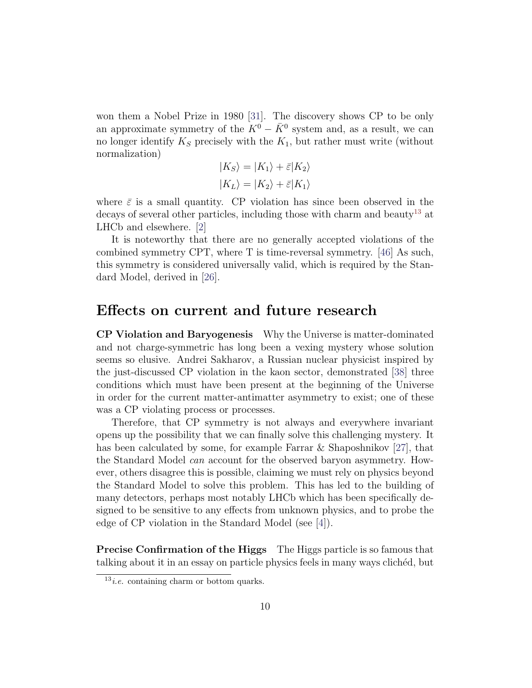won them a Nobel Prize in 1980 [\[31\]](#page-15-6). The discovery shows CP to be only an approximate symmetry of the  $K^0 - \bar{K}^0$  system and, as a result, we can no longer identify  $K_S$  precisely with the  $K_1$ , but rather must write (without normalization)

$$
|K_S\rangle = |K_1\rangle + \bar{\varepsilon}|K_2\rangle
$$
  

$$
|K_L\rangle = |K_2\rangle + \bar{\varepsilon}|K_1\rangle
$$

where  $\bar{\varepsilon}$  is a small quantity. CP violation has since been observed in the decays of several other particles, including those with charm and beauty<sup>[13](#page-9-0)</sup> at LHCb and elsewhere. [\[2\]](#page-13-8)

It is noteworthy that there are no generally accepted violations of the combined symmetry CPT, where T is time-reversal symmetry. [\[46\]](#page-17-1) As such, this symmetry is considered universally valid, which is required by the Standard Model, derived in [\[26\]](#page-15-7).

#### Effects on current and future research

CP Violation and Baryogenesis Why the Universe is matter-dominated and not charge-symmetric has long been a vexing mystery whose solution seems so elusive. Andrei Sakharov, a Russian nuclear physicist inspired by the just-discussed CP violation in the kaon sector, demonstrated [\[38\]](#page-16-5) three conditions which must have been present at the beginning of the Universe in order for the current matter-antimatter asymmetry to exist; one of these was a CP violating process or processes.

Therefore, that CP symmetry is not always and everywhere invariant opens up the possibility that we can finally solve this challenging mystery. It has been calculated by some, for example Farrar & Shaposhnikov [\[27\]](#page-15-8), that the Standard Model can account for the observed baryon asymmetry. However, others disagree this is possible, claiming we must rely on physics beyond the Standard Model to solve this problem. This has led to the building of many detectors, perhaps most notably LHCb which has been specifically designed to be sensitive to any effects from unknown physics, and to probe the edge of CP violation in the Standard Model (see [\[4\]](#page-13-9)).

Precise Confirmation of the Higgs The Higgs particle is so famous that talking about it in an essay on particle physics feels in many ways cliched, but

<span id="page-9-0"></span> $13$ *i.e.* containing charm or bottom quarks.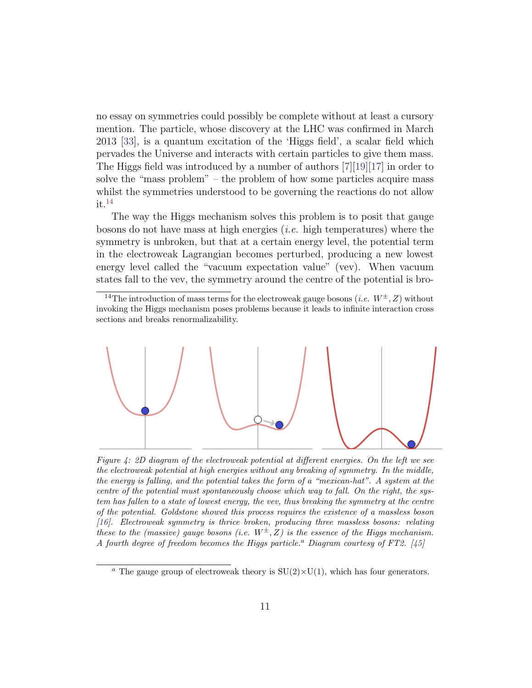no essay on symmetries could possibly be complete without at least a cursory mention. The particle, whose discovery at the LHC was confirmed in March 2013 [\[33\]](#page-15-9), is a quantum excitation of the 'Higgs field', a scalar field which pervades the Universe and interacts with certain particles to give them mass. The Higgs field was introduced by a number of authors [\[7\]](#page-13-10)[\[19\]](#page-14-5)[\[17\]](#page-14-6) in order to solve the "mass problem" – the problem of how some particles acquire mass whilst the symmetries understood to be governing the reactions do not allow  $it.<sup>14</sup>$  $it.<sup>14</sup>$  $it.<sup>14</sup>$ 

The way the Higgs mechanism solves this problem is to posit that gauge bosons do not have mass at high energies (*i.e.* high temperatures) where the symmetry is unbroken, but that at a certain energy level, the potential term in the electroweak Lagrangian becomes perturbed, producing a new lowest energy level called the "vacuum expectation value" (vev). When vacuum states fall to the vev, the symmetry around the centre of the potential is bro-

<span id="page-10-0"></span><sup>14</sup>The introduction of mass terms for the electroweak gauge bosons (*i.e.*  $W^{\pm}$ , *Z*) without invoking the Higgs mechanism poses problems because it leads to infinite interaction cross sections and breaks renormalizability.

<span id="page-10-1"></span>

Figure 4: 2D diagram of the electroweak potential at different energies. On the left we see the electroweak potential at high energies without any breaking of symmetry. In the middle, the energy is falling, and the potential takes the form of a "mexican-hat". A system at the centre of the potential must spontaneously choose which way to fall. On the right, the system has fallen to a state of lowest energy, the vev, thus breaking the symmetry at the centre of the potential. Goldstone showed this process requires the existence of a massless boson [\[16\]](#page-14-7). Electroweak symmetry is thrice broken, producing three massless bosons: relating these to the (massive) gauge bosons (i.e.  $W^{\pm}$ , Z) is the essence of the Higgs mechanism. A fourth degree of freedom becomes the Higgs particle.<sup>a</sup> Diagram courtesy of FT2. [\[45\]](#page-16-6)

<sup>&</sup>lt;sup>a</sup> The gauge group of electroweak theory is  $SU(2) \times U(1)$ , which has four generators.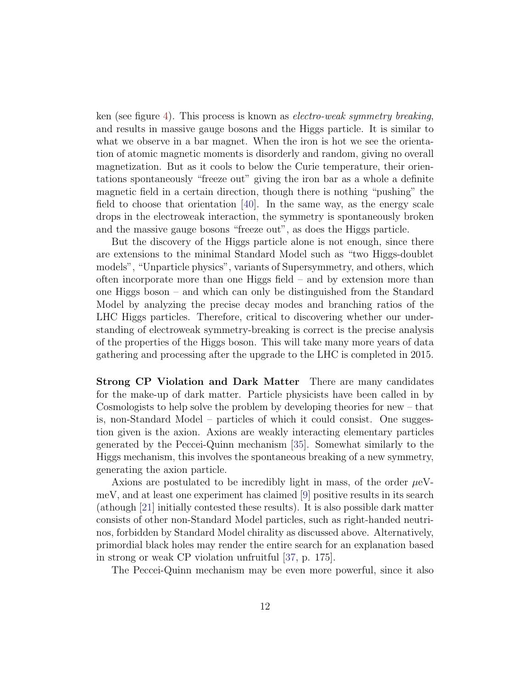ken (see figure [4\)](#page-10-1). This process is known as electro-weak symmetry breaking, and results in massive gauge bosons and the Higgs particle. It is similar to what we observe in a bar magnet. When the iron is hot we see the orientation of atomic magnetic moments is disorderly and random, giving no overall magnetization. But as it cools to below the Curie temperature, their orientations spontaneously "freeze out" giving the iron bar as a whole a definite magnetic field in a certain direction, though there is nothing "pushing" the field to choose that orientation  $[40]$ . In the same way, as the energy scale drops in the electroweak interaction, the symmetry is spontaneously broken and the massive gauge bosons "freeze out", as does the Higgs particle.

But the discovery of the Higgs particle alone is not enough, since there are extensions to the minimal Standard Model such as "two Higgs-doublet models", "Unparticle physics", variants of Supersymmetry, and others, which often incorporate more than one Higgs field – and by extension more than one Higgs boson – and which can only be distinguished from the Standard Model by analyzing the precise decay modes and branching ratios of the LHC Higgs particles. Therefore, critical to discovering whether our understanding of electroweak symmetry-breaking is correct is the precise analysis of the properties of the Higgs boson. This will take many more years of data gathering and processing after the upgrade to the LHC is completed in 2015.

Strong CP Violation and Dark Matter There are many candidates for the make-up of dark matter. Particle physicists have been called in by Cosmologists to help solve the problem by developing theories for new – that is, non-Standard Model – particles of which it could consist. One suggestion given is the axion. Axions are weakly interacting elementary particles generated by the Peccei-Quinn mechanism [\[35\]](#page-16-8). Somewhat similarly to the Higgs mechanism, this involves the spontaneous breaking of a new symmetry, generating the axion particle.

Axions are postulated to be incredibly light in mass, of the order  $\mu$ eVmeV, and at least one experiment has claimed [\[9\]](#page-13-11) positive results in its search (athough [\[21\]](#page-14-8) initially contested these results). It is also possible dark matter consists of other non-Standard Model particles, such as right-handed neutrinos, forbidden by Standard Model chirality as discussed above. Alternatively, primordial black holes may render the entire search for an explanation based in strong or weak CP violation unfruitful [\[37,](#page-16-9) p. 175].

The Peccei-Quinn mechanism may be even more powerful, since it also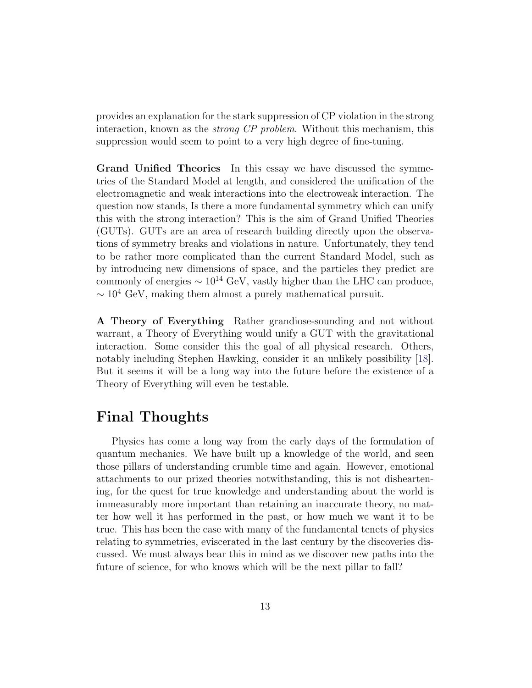provides an explanation for the stark suppression of CP violation in the strong interaction, known as the strong CP problem. Without this mechanism, this suppression would seem to point to a very high degree of fine-tuning.

Grand Unified Theories In this essay we have discussed the symmetries of the Standard Model at length, and considered the unification of the electromagnetic and weak interactions into the electroweak interaction. The question now stands, Is there a more fundamental symmetry which can unify this with the strong interaction? This is the aim of Grand Unified Theories (GUTs). GUTs are an area of research building directly upon the observations of symmetry breaks and violations in nature. Unfortunately, they tend to be rather more complicated than the current Standard Model, such as by introducing new dimensions of space, and the particles they predict are commonly of energies  $\sim 10^{14}$  GeV, vastly higher than the LHC can produce,  $\sim 10^4$  GeV, making them almost a purely mathematical pursuit.

A Theory of Everything Rather grandiose-sounding and not without warrant, a Theory of Everything would unify a GUT with the gravitational interaction. Some consider this the goal of all physical research. Others, notably including Stephen Hawking, consider it an unlikely possibility [\[18\]](#page-14-9). But it seems it will be a long way into the future before the existence of a Theory of Everything will even be testable.

## Final Thoughts

Physics has come a long way from the early days of the formulation of quantum mechanics. We have built up a knowledge of the world, and seen those pillars of understanding crumble time and again. However, emotional attachments to our prized theories notwithstanding, this is not disheartening, for the quest for true knowledge and understanding about the world is immeasurably more important than retaining an inaccurate theory, no matter how well it has performed in the past, or how much we want it to be true. This has been the case with many of the fundamental tenets of physics relating to symmetries, eviscerated in the last century by the discoveries discussed. We must always bear this in mind as we discover new paths into the future of science, for who knows which will be the next pillar to fall?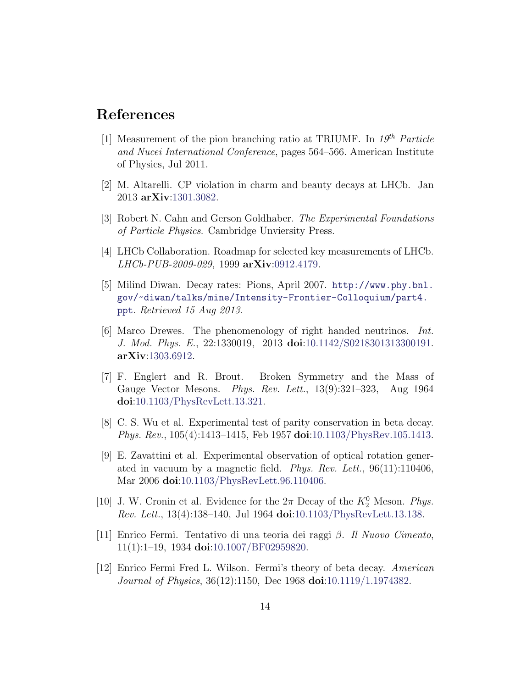### References

- <span id="page-13-4"></span>[1] Measurement of the pion branching ratio at TRIUMF. In  $19^{th}$  Particle and Nucei International Conference, pages 564–566. American Institute of Physics, Jul 2011.
- <span id="page-13-8"></span>[2] M. Altarelli. CP violation in charm and beauty decays at LHCb. Jan 2013 arXiv[:1301.3082.](http://arxiv.org/abs/1301.3082)
- <span id="page-13-6"></span>[3] Robert N. Cahn and Gerson Goldhaber. The Experimental Foundations of Particle Physics. Cambridge Unviersity Press.
- <span id="page-13-9"></span>[4] LHCb Collaboration. Roadmap for selected key measurements of LHCb. LHCb-PUB-2009-029, 1999 arXiv[:0912.4179.](http://arxiv.org/abs/0912.4179)
- <span id="page-13-3"></span>[5] Milind Diwan. Decay rates: Pions, April 2007. [http://www.phy.bnl.](http://www.phy.bnl.gov/~diwan/talks/mine/Intensity-Frontier-Colloquium/part4.ppt) [gov/~diwan/talks/mine/Intensity-Frontier-Colloquium/part4.](http://www.phy.bnl.gov/~diwan/talks/mine/Intensity-Frontier-Colloquium/part4.ppt) [ppt](http://www.phy.bnl.gov/~diwan/talks/mine/Intensity-Frontier-Colloquium/part4.ppt). Retrieved 15 Aug 2013.
- <span id="page-13-5"></span>[6] Marco Drewes. The phenomenology of right handed neutrinos. Int. J. Mod. Phys. E., 22:1330019, 2013 doi[:10.1142/S0218301313300191.](http://dx.doi.org/10.1142/S0218301313300191) arXiv[:1303.6912.](http://arxiv.org/abs/1303.6912)
- <span id="page-13-10"></span>[7] F. Englert and R. Brout. Broken Symmetry and the Mass of Gauge Vector Mesons. Phys. Rev. Lett., 13(9):321–323, Aug 1964 doi[:10.1103/PhysRevLett.13.321.](http://dx.doi.org/10.1103/PhysRevLett.13.321)
- <span id="page-13-0"></span>[8] C. S. Wu et al. Experimental test of parity conservation in beta decay. Phys. Rev., 105(4):1413–1415, Feb 1957 doi[:10.1103/PhysRev.105.1413.](http://dx.doi.org/10.1103/PhysRev.105.1413)
- <span id="page-13-11"></span>[9] E. Zavattini et al. Experimental observation of optical rotation generated in vacuum by a magnetic field. Phys. Rev. Lett., 96(11):110406, Mar 2006 **doi**[:10.1103/PhysRevLett.96.110406.](http://dx.doi.org/10.1103/PhysRevLett.96.110406)
- <span id="page-13-7"></span>[10] J. W. Cronin et al. Evidence for the  $2\pi$  Decay of the  $K_2^0$  Meson. Phys. Rev. Lett., 13(4):138–140, Jul 1964 doi[:10.1103/PhysRevLett.13.138.](http://dx.doi.org/10.1103/PhysRevLett.13.138)
- <span id="page-13-1"></span>[11] Enrico Fermi. Tentativo di una teoria dei raggi β. Il Nuovo Cimento, 11(1):1–19, 1934 doi[:10.1007/BF02959820.](http://dx.doi.org/10.1007/BF02959820)
- <span id="page-13-2"></span>[12] Enrico Fermi Fred L. Wilson. Fermi's theory of beta decay. American Journal of Physics, 36(12):1150, Dec 1968 doi[:10.1119/1.1974382.](http://dx.doi.org/10.1119/1.1974382)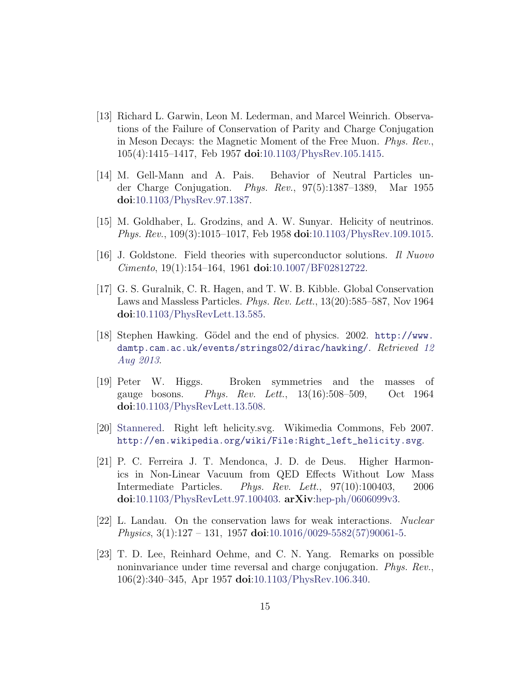- <span id="page-14-0"></span>[13] Richard L. Garwin, Leon M. Lederman, and Marcel Weinrich. Observations of the Failure of Conservation of Parity and Charge Conjugation in Meson Decays: the Magnetic Moment of the Free Muon. Phys. Rev., 105(4):1415–1417, Feb 1957 doi[:10.1103/PhysRev.105.1415.](http://dx.doi.org/10.1103/PhysRev.105.1415)
- <span id="page-14-4"></span>[14] M. Gell-Mann and A. Pais. Behavior of Neutral Particles under Charge Conjugation. Phys. Rev., 97(5):1387–1389, Mar 1955 doi[:10.1103/PhysRev.97.1387.](http://dx.doi.org/10.1103/PhysRev.97.1387)
- <span id="page-14-3"></span>[15] M. Goldhaber, L. Grodzins, and A. W. Sunyar. Helicity of neutrinos. Phys. Rev., 109(3):1015–1017, Feb 1958 doi[:10.1103/PhysRev.109.1015.](http://dx.doi.org/10.1103/PhysRev.109.1015)
- <span id="page-14-7"></span>[16] J. Goldstone. Field theories with superconductor solutions. Il Nuovo  $Cimento$ , 19(1):154–164, 1961 doi[:10.1007/BF02812722.](http://dx.doi.org/10.1007/BF02812722)
- <span id="page-14-6"></span>[17] G. S. Guralnik, C. R. Hagen, and T. W. B. Kibble. Global Conservation Laws and Massless Particles. Phys. Rev. Lett., 13(20):585–587, Nov 1964 doi[:10.1103/PhysRevLett.13.585.](http://dx.doi.org/10.1103/PhysRevLett.13.585)
- <span id="page-14-9"></span>[18] Stephen Hawking. Gödel and the end of physics. 2002. [http://www.](http://www.damtp.cam.ac.uk/events/strings02/dirac/hawking/) [damtp.cam.ac.uk/events/strings02/dirac/hawking/](http://www.damtp.cam.ac.uk/events/strings02/dirac/hawking/). Retrieved [12](http://web.archive.org/web/20130703184135/http://www.damtp.cam.ac.uk/events/strings02/dirac/hawking/) [Aug 2013](http://web.archive.org/web/20130703184135/http://www.damtp.cam.ac.uk/events/strings02/dirac/hawking/).
- <span id="page-14-5"></span>[19] Peter W. Higgs. Broken symmetries and the masses of gauge bosons. Phys. Rev. Lett., 13(16):508–509, Oct 1964 doi[:10.1103/PhysRevLett.13.508.](http://dx.doi.org/10.1103/PhysRevLett.13.508)
- <span id="page-14-2"></span>[20] [Stannered.](https://en.wikipedia.org/wiki/User:Stannered) Right left helicity.svg. Wikimedia Commons, Feb 2007. [http://en.wikipedia.org/wiki/File:Right\\_left\\_helicity.svg](http://en.wikipedia.org/wiki/File:Right_left_helicity.svg).
- <span id="page-14-8"></span>[21] P. C. Ferreira J. T. Mendonca, J. D. de Deus. Higher Harmonics in Non-Linear Vacuum from QED Effects Without Low Mass Intermediate Particles. Phys. Rev. Lett., 97(10):100403, 2006 doi[:10.1103/PhysRevLett.97.100403.](http://dx.doi.org/10.1103/PhysRevLett.97.100403) arXiv[:hep-ph/0606099v3.](http://arxiv.org/abs/hep-ph/0606099v3)
- <span id="page-14-1"></span>[22] L. Landau. On the conservation laws for weak interactions. Nuclear *Physics*,  $3(1):127 - 131$ ,  $1957$  doi[:10.1016/0029-5582\(57\)90061-5.](http://dx.doi.org/10.1016/0029-5582(57)90061-5)
- [23] T. D. Lee, Reinhard Oehme, and C. N. Yang. Remarks on possible noninvariance under time reversal and charge conjugation. Phys. Rev., 106(2):340–345, Apr 1957 doi[:10.1103/PhysRev.106.340.](http://dx.doi.org/10.1103/PhysRev.106.340)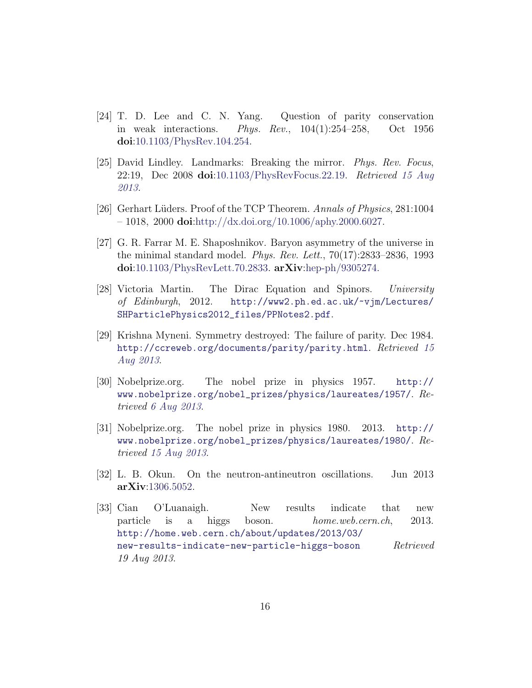- <span id="page-15-1"></span>[24] T. D. Lee and C. N. Yang. Question of parity conservation in weak interactions. Phys. Rev., 104(1):254–258, Oct 1956 doi[:10.1103/PhysRev.104.254.](http://dx.doi.org/10.1103/PhysRev.104.254)
- <span id="page-15-2"></span>[25] David Lindley. Landmarks: Breaking the mirror. Phys. Rev. Focus, 22:19, Dec 2008 doi[:10.1103/PhysRevFocus.22.19.](http://dx.doi.org/10.1103/PhysRevFocus.22.19) Retrieved [15 Aug](http://web.archive.org/web/20120922090002/http://physics.aps.org/story/v22/st19) [2013](http://web.archive.org/web/20120922090002/http://physics.aps.org/story/v22/st19).
- <span id="page-15-7"></span>[26] Gerhart Lüders. Proof of the TCP Theorem. Annals of Physics, 281:1004  $-1018$ , 2000 doi[:http://dx.doi.org/10.1006/aphy.2000.6027.](http://dx.doi.org/http://dx.doi.org/10.1006/aphy.2000.6027)
- <span id="page-15-8"></span>[27] G. R. Farrar M. E. Shaposhnikov. Baryon asymmetry of the universe in the minimal standard model. Phys. Rev. Lett., 70(17):2833–2836, 1993 doi[:10.1103/PhysRevLett.70.2833.](http://dx.doi.org/10.1103/PhysRevLett.70.2833) arXiv[:hep-ph/9305274.](http://arxiv.org/abs/hep-ph/9305274)
- <span id="page-15-4"></span>[28] Victoria Martin. The Dirac Equation and Spinors. University of Edinburgh, 2012. [http://www2.ph.ed.ac.uk/~vjm/Lectures/](http://www2.ph.ed.ac.uk/~vjm/Lectures/SHParticlePhysics2012_files/PPNotes2.pdf) [SHParticlePhysics2012\\_files/PPNotes2.pdf](http://www2.ph.ed.ac.uk/~vjm/Lectures/SHParticlePhysics2012_files/PPNotes2.pdf).
- <span id="page-15-0"></span>[29] Krishna Myneni. Symmetry destroyed: The failure of parity. Dec 1984. <http://ccreweb.org/documents/parity/parity.html>. Retrieved [15](http://web.archive.org/web/20120207114002/http://ccreweb.org/documents/parity/parity.html) [Aug 2013](http://web.archive.org/web/20120207114002/http://ccreweb.org/documents/parity/parity.html).
- <span id="page-15-3"></span>[30] Nobelprize.org. The nobel prize in physics 1957. [http://](http://www.nobelprize.org/nobel_prizes/physics/laureates/1957/) [www.nobelprize.org/nobel\\_prizes/physics/laureates/1957/](http://www.nobelprize.org/nobel_prizes/physics/laureates/1957/). Retrieved [6 Aug 2013](http://web.archive.org/web/20130531001336/http://www.nobelprize.org/nobel_prizes/physics/laureates/1957/).
- <span id="page-15-6"></span>[31] Nobelprize.org. The nobel prize in physics 1980. 2013. [http://](http://www.nobelprize.org/nobel_prizes/physics/laureates/1980/) [www.nobelprize.org/nobel\\_prizes/physics/laureates/1980/](http://www.nobelprize.org/nobel_prizes/physics/laureates/1980/). Retrieved [15 Aug 2013](http://web.archive.org/web/20130530220258/http://www.nobelprize.org/nobel_prizes/physics/laureates/1980/).
- <span id="page-15-5"></span>[32] L. B. Okun. On the neutron-antineutron oscillations. Jun 2013 arXiv[:1306.5052.](http://arxiv.org/abs/1306.5052)
- <span id="page-15-9"></span>[33] Cian O'Luanaigh. New results indicate that new particle is a higgs boson. *home.web.cern.ch*, 2013. [http://home.web.cern.ch/about/updates/2013/03/](http://home.web.cern.ch/about/updates/2013/03/new-results-indicate-new-particle-higgs-boson) [new-results-indicate-new-particle-higgs-boson](http://home.web.cern.ch/about/updates/2013/03/new-results-indicate-new-particle-higgs-boson)  $Retrieved$ 19 Aug 2013.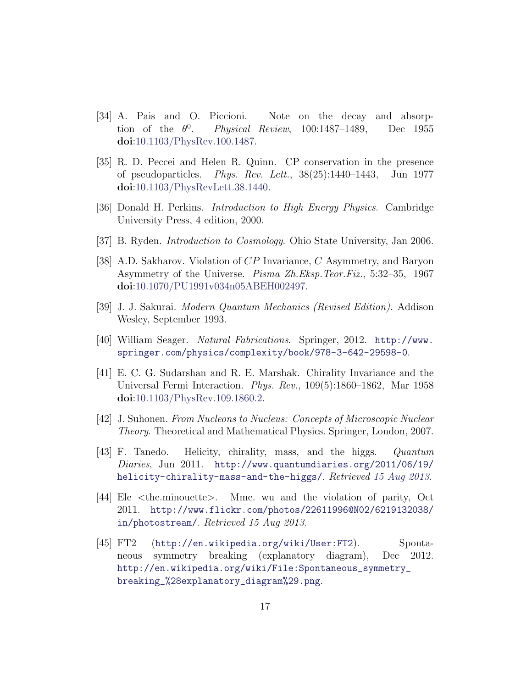- <span id="page-16-4"></span>[34] A. Pais and O. Piccioni. Note on the decay and absorption of the  $\theta^0$ . Physical Review, 100:1487–1489, Dec 1955 doi[:10.1103/PhysRev.100.1487.](http://dx.doi.org/10.1103/PhysRev.100.1487)
- <span id="page-16-8"></span>[35] R. D. Peccei and Helen R. Quinn. CP conservation in the presence of pseudoparticles. Phys. Rev. Lett., 38(25):1440–1443, Jun 1977 doi[:10.1103/PhysRevLett.38.1440.](http://dx.doi.org/10.1103/PhysRevLett.38.1440)
- [36] Donald H. Perkins. Introduction to High Energy Physics. Cambridge University Press, 4 edition, 2000.
- <span id="page-16-9"></span>[37] B. Ryden. Introduction to Cosmology. Ohio State University, Jan 2006.
- <span id="page-16-5"></span>[38] A.D. Sakharov. Violation of CP Invariance, C Asymmetry, and Baryon Asymmetry of the Universe. Pisma Zh.Eksp.Teor.Fiz., 5:32–35, 1967 doi[:10.1070/PU1991v034n05ABEH002497.](http://dx.doi.org/10.1070/PU1991v034n05ABEH002497)
- <span id="page-16-1"></span>[39] J. J. Sakurai. Modern Quantum Mechanics (Revised Edition). Addison Wesley, September 1993.
- <span id="page-16-7"></span>[40] William Seager. Natural Fabrications. Springer, 2012. [http://www.](http://www.springer.com/physics/complexity/book/978-3-642-29598-0) [springer.com/physics/complexity/book/978-3-642-29598-0](http://www.springer.com/physics/complexity/book/978-3-642-29598-0).
- <span id="page-16-2"></span>[41] E. C. G. Sudarshan and R. E. Marshak. Chirality Invariance and the Universal Fermi Interaction. Phys. Rev., 109(5):1860–1862, Mar 1958 doi[:10.1103/PhysRev.109.1860.2.](http://dx.doi.org/10.1103/PhysRev.109.1860.2)
- <span id="page-16-3"></span>[42] J. Suhonen. From Nucleons to Nucleus: Concepts of Microscopic Nuclear Theory. Theoretical and Mathematical Physics. Springer, London, 2007.
- [43] F. Tanedo. Helicity, chirality, mass, and the higgs. Quantum Diaries, Jun 2011. [http://www.quantumdiaries.org/2011/06/19/](http://www.quantumdiaries.org/2011/06/19/helicity-chirality-mass-and-the-higgs/) [helicity-chirality-mass-and-the-higgs/](http://www.quantumdiaries.org/2011/06/19/helicity-chirality-mass-and-the-higgs/). Retrieved [15 Aug 2013](http://web.archive.org/web/20130403191203/http://www.quantumdiaries.org/2011/06/19/helicity-chirality-mass-and-the-higgs/).
- <span id="page-16-0"></span>[44] Ele <the.minouette>. Mme. wu and the violation of parity, Oct 2011. [http://www.flickr.com/photos/22611996@N02/6219132038/](http://www.flickr.com/photos/22611996@N02/6219132038/in/photostream/) [in/photostream/](http://www.flickr.com/photos/22611996@N02/6219132038/in/photostream/). Retrieved 15 Aug 2013.
- <span id="page-16-6"></span>[45] FT2 (<http://en.wikipedia.org/wiki/User:FT2>). Spontaneous symmetry breaking (explanatory diagram), Dec 2012. [http://en.wikipedia.org/wiki/File:Spontaneous\\_symmetry\\_](http://en.wikipedia.org/wiki/File:Spontaneous_symmetry_breaking_%28explanatory_diagram%29.png) [breaking\\_%28explanatory\\_diagram%29.png](http://en.wikipedia.org/wiki/File:Spontaneous_symmetry_breaking_%28explanatory_diagram%29.png).